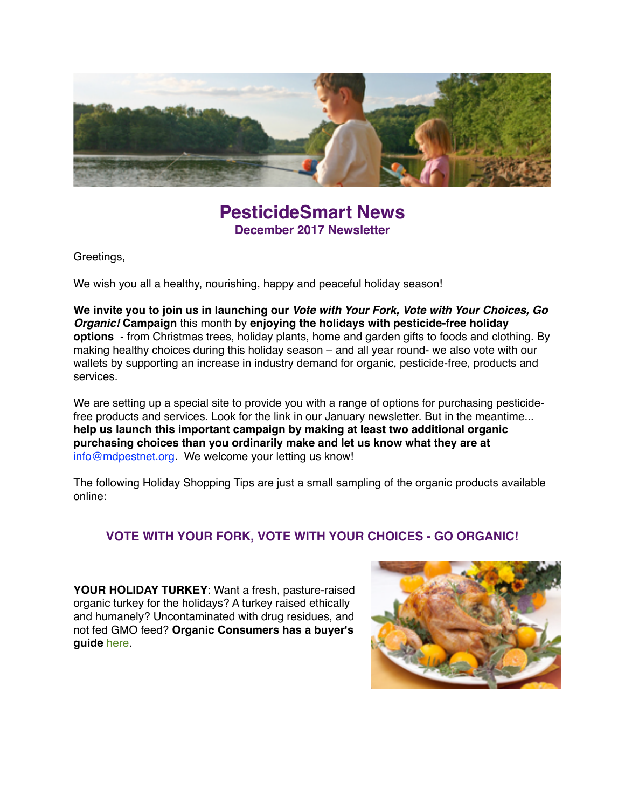

## **PesticideSmart News December 2017 Newsletter**

Greetings,

We wish you all a healthy, nourishing, happy and peaceful holiday season!

**We invite you to join us in launching our** *Vote with Your Fork, Vote with Your Choices, Go Organic!* **Campaign** this month by **enjoying the holidays with pesticide-free holiday options** - from Christmas trees, holiday plants, home and garden gifts to foods and clothing. By making healthy choices during this holiday season – and all year round- we also vote with our wallets by supporting an increase in industry demand for organic, pesticide-free, products and services.

We are setting up a special site to provide you with a range of options for purchasing pesticidefree products and services. Look for the link in our January newsletter. But in the meantime... **help us launch this important campaign by making at least two additional organic purchasing choices than you ordinarily make and let us know what they are at**  [info@mdpestnet.org](mailto:info@mdpestnet.org). We welcome your letting us know!

The following Holiday Shopping Tips are just a small sampling of the organic products available online:

### **VOTE WITH YOUR FORK, VOTE WITH YOUR CHOICES - GO ORGANIC!**

**YOUR HOLIDAY TURKEY**: Want a fresh, pasture-raised organic turkey for the holidays? A turkey raised ethically and humanely? Uncontaminated with drug residues, and not fed GMO feed? **Organic Consumers has a buyer's guide** [here](https://www.organicconsumers.org/sites/default/files/holiday_turkey_buying_guide.pdf).

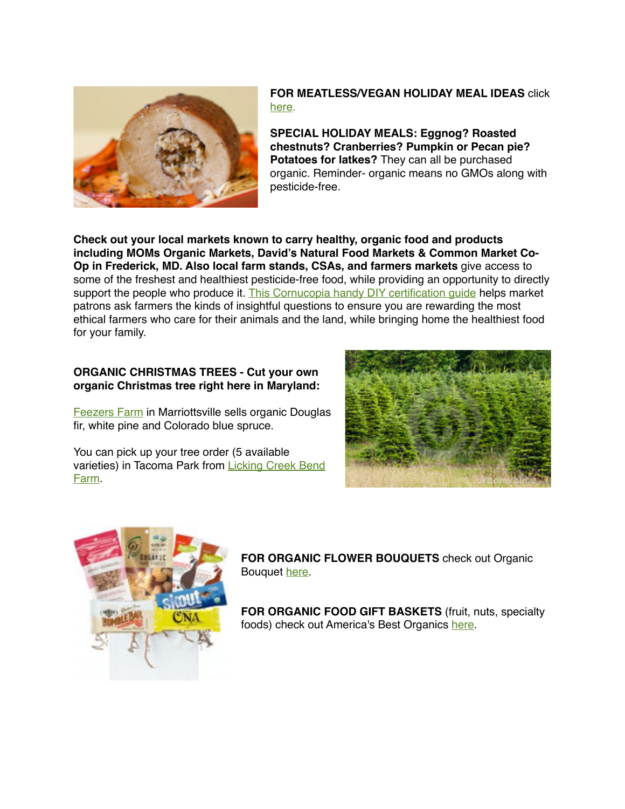

#### **FOR MEATLESS/VEGAN HOLIDAY MEAL IDEAS click** [here.](http://www.onegreenplanet.org/vegan-food/best-meatless-turkey-alternatives-for-thanksgiving/)

**SPECIAL HOLIDAY MEALS: Eggnog? Roasted chestnuts? Cranberries? Pumpkin or Pecan pie? Potatoes for latkes?** They can all be purchased organic. Reminder- organic means no GMOs along with pesticide-free.

**Check out your local markets known to carry healthy, organic food and products including MOMs Organic Markets, David's Natural Food Markets & Common Market Co-Op in Frederick, MD. Also local farm stands, CSAs, and farmers markets** give access to some of the freshest and healthiest pesticide-free food, while providing an opportunity to directly support the people who produce it. This Cornucopia handy DIY certification quide helps market patrons ask farmers the kinds of insightful questions to ensure you are rewarding the most ethical farmers who care for their animals and the land, while bringing home the healthiest food for your family.

#### **ORGANIC CHRISTMAS TREES - Cut your own organic Christmas tree right here in Maryland:**

[Feezers Farm](http://www.feezersfarm.com/) in Marriottsville sells organic Douglas fir, white pine and Colorado blue spruce.

You can pick up your tree order (5 available [varieties\) in Tacoma Park from Licking Creek Bend](http://lickingcreekbendfarm.com/)  Farm.





**FOR ORGANIC FLOWER BOUQUETS** check out Organic Bouquet [here](http://www.organicbouquet.com/Default.aspx?PID=5343315&utm_source=cj&utm_medium=affiliate&utm_campaign=cj).

**FOR ORGANIC FOOD GIFT BASKETS** (fruit, nuts, specialty foods) check out America's Best Organics [here.](http://www.americasbestorganics.com/)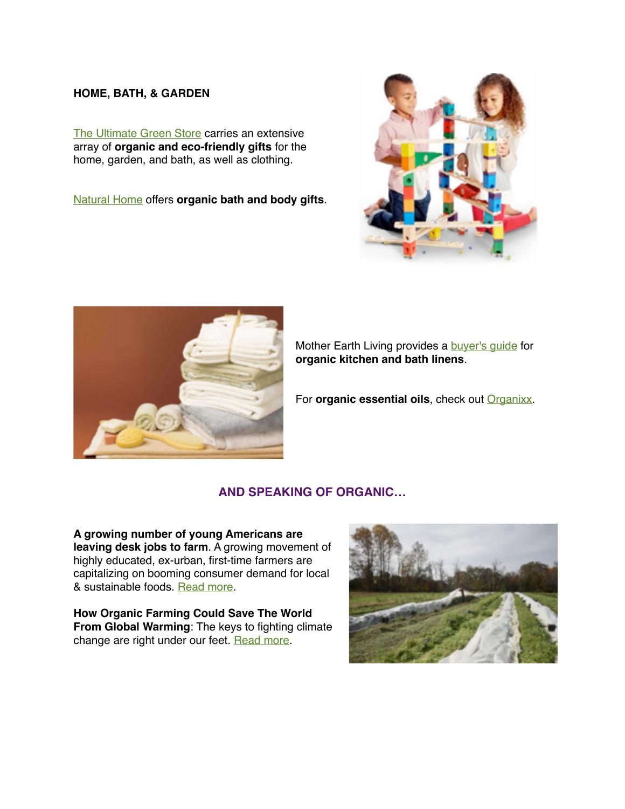#### **HOME, BATH, & GARDEN**

[The Ultimate Green Store](https://www.theultimategreenstore.com/s-12-gifts.aspx) carries an extensive array of **organic and eco-friendly gifts** for the home, garden, and bath, as well as clothing.

[Natural Home](http://www.naturalhomeonline.com) offers **organic bath and body gifts**.





Mother Earth Living provides a **[buyer's guide](https://www.motherearthliving.com/home-products/organic-kitchen-and-bath-linens-a-buyers-guide)** for **organic kitchen and bath linens**.

For **organic essential oils**, check out **Organixx**.

### **AND SPEAKING OF ORGANIC…**

**A growing number of young Americans are leaving desk jobs to farm**. A growing movement of highly educated, ex-urban, first-time farmers are capitalizing on booming consumer demand for local & sustainable foods. [Read more.](https://www.washingtonpost.com/business/economy/a-growing-number-of-young-americans-are-leaving-desk-jobs-to-farm/2017/11/23/e3c018ae-c64e-11e7-afe9-4f60b5a6c4a0_story.html?tid=ss_fb-bottom&utm_term=.3bbf369974c2)

**How Organic Farming Could Save The World From Global Warming: The keys to fighting climate** change are right under our feet. [Read more.](https://www.rodalesorganiclife.com/garden/organic-faming-fights-global-warming?utm_campaign=OrganicLife&utm_source=rodalesorganiclife.com&utm_medium=newsletter&smartcode=YN_0005409186_0001641794&sha1hashlower=78f458218bd26cd0a0c9843f2703bff3c35dd3fd&md5hash=e41dc230251a478412b9b0aaf5616c09)

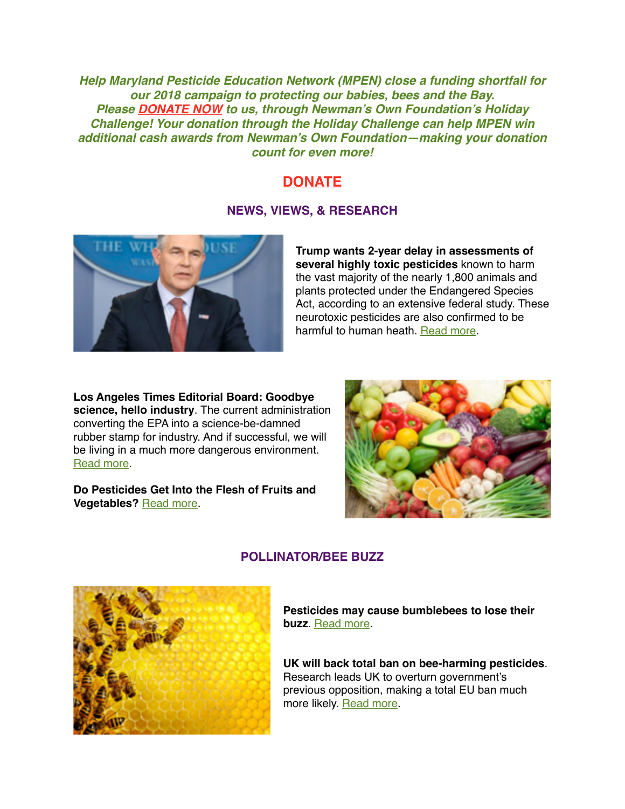*Help Maryland Pesticide Education Network (MPEN) close a funding shortfall for our 2018 campaign to protecting our babies, bees and the Bay. Please [DONATE NOW](http://www.crowdrise.com/mpen) to us, through Newman's Own Foundation's Holiday Challenge! Your donation through the Holiday Challenge can help MPEN win additional cash awards from Newman's Own Foundation—making your donation count for even more!*

## **[DONATE](http://www.crowdrise.com/mpen)**

### **NEWS, VIEWS, & RESEARCH**



**Trump wants 2-year delay in assessments of several highly toxic pesticides** known to harm the vast majority of the nearly 1,800 animals and plants protected under the Endangered Species Act, according to an extensive federal study. These neurotoxic pesticides are also confirmed to be harmful to human heath. [Read more](http://abcnews.go.com/Health/wireStory/trump-administration-seeks-delay-findings-pesticides-51147449).

**Los Angeles Times Editorial Board: Goodbye science, hello industry**. The current administration converting the EPA into a science-be-damned rubber stamp for industry. And if successful, we will be living in a much more dangerous environment. [Read more](http://www.latimes.com/opinion/editorials/la-ed-pruitt-epa-advisory-panels-20171106-story.html).

**Do Pesticides Get Into the Flesh of Fruits and Vegetables?** [Read more.](https://www.nytimes.com/2017/11/10/well/eat/do-pesticides-get-into-the-flesh-of-fruits-and-vegetables.html?_r=0)





### **POLLINATOR/BEE BUZZ**

**Pesticides may cause bumblebees to lose their buzz**. [Read more](http://bit.ly/2jv6fPL).

**UK will back total ban on bee-harming pesticides**. Research leads UK to overturn government's previous opposition, making a total EU ban much more likely. [Read more.](https://amp.theguardian.com/environment/2017/nov/09/uk-will-back-total-ban-on-bee-harming-pesticides-michael-gove-reveals)